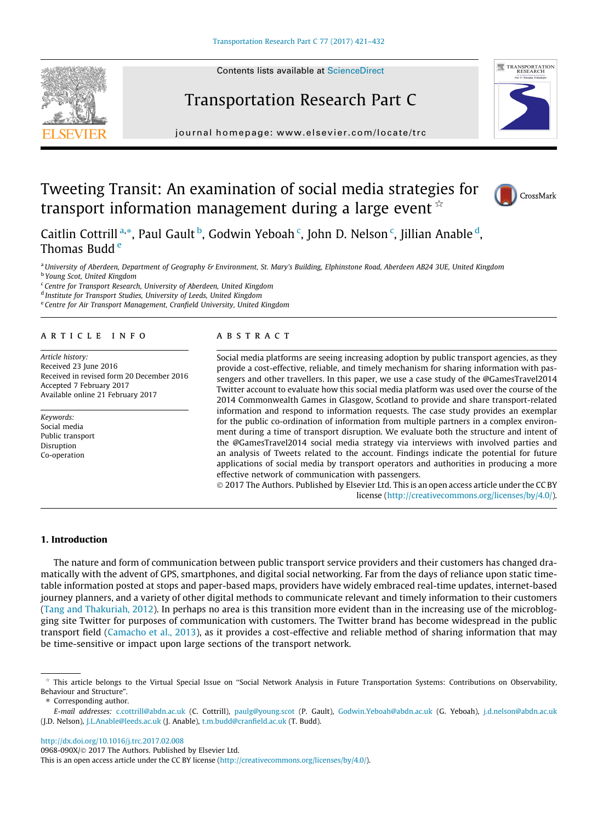# Transportation Research Part C

journal homepage: www.el [sevier.com/locate/trc](http://www.elsevier.com/locate/trc)

# Tweeting Transit: An examination of social media strategies for transport information management during a large event  $\dot{\mathbf{r}}$

Caitlin Cottrill<sup>a,\*</sup>, Paul Gault <sup>b</sup>, Godwin Yeboah <sup>c</sup>, John D. Nelson <sup>c</sup>, Jillian Anable <sup>d</sup>, Thomas Budd <sup>e</sup>

a University of Aberdeen, Department of Geography & Environment, St. Mary's Building, Elphinstone Road, Aberdeen AB24 3UE, United Kingdom

<sup>b</sup> Young Scot, United Kingdom

<sup>c</sup> Centre for Transport Research, University of Aberdeen, United Kingdom

<sup>d</sup> Institute for Transport Studies, University of Leeds, United Kingdom

<sup>e</sup> Centre for Air Transport Management, Cranfield University, United Kingdom

## article info

Article history: Received 23 June 2016 Received in revised form 20 December 2016 Accepted 7 February 2017 Available online 21 February 2017

Keywords: Social media Public transport Disruption Co-operation

## **ABSTRACT**

Social media platforms are seeing increasing adoption by public transport agencies, as they provide a cost-effective, reliable, and timely mechanism for sharing information with passengers and other travellers. In this paper, we use a case study of the @GamesTravel2014 Twitter account to evaluate how this social media platform was used over the course of the 2014 Commonwealth Games in Glasgow, Scotland to provide and share transport-related information and respond to information requests. The case study provides an exemplar for the public co-ordination of information from multiple partners in a complex environment during a time of transport disruption. We evaluate both the structure and intent of the @GamesTravel2014 social media strategy via interviews with involved parties and an analysis of Tweets related to the account. Findings indicate the potential for future applications of social media by transport operators and authorities in producing a more effective network of communication with passengers.

 2017 The Authors. Published by Elsevier Ltd. This is an open access article under the CC BY license ([http://creativecommons.org/licenses/by/4.0/\)](http://creativecommons.org/licenses/by/4.0/).

## 1. Introduction

The nature and form of communication between public transport service providers and their customers has changed dramatically with the advent of GPS, smartphones, and digital social networking. Far from the days of reliance upon static timetable information posted at stops and paper-based maps, providers have widely embraced real-time updates, internet-based journey planners, and a variety of other digital methods to communicate relevant and timely information to their customers ([Tang and Thakuriah, 2012\)](#page-11-0). In perhaps no area is this transition more evident than in the increasing use of the microblogging site Twitter for purposes of communication with customers. The Twitter brand has become widespread in the public transport field [\(Camacho et al., 2013](#page-10-0)), as it provides a cost-effective and reliable method of sharing information that may be time-sensitive or impact upon large sections of the transport network.

⇑ Corresponding author.

E-mail addresses: [c.cottrill@abdn.ac.uk](mailto:c.cottrill@abdn.ac.uk) (C. Cottrill), [paulg@young.scot](mailto:paulg@young.scot) (P. Gault), [Godwin.Yeboah@abdn.ac.uk](mailto:Godwin.Yeboah@abdn.ac.uk) (G. Yeboah), [j.d.nelson@abdn.ac.uk](mailto:j.d.nelson@abdn.ac.uk) (J.D. Nelson), [J.L.Anable@leeds.ac.uk](mailto:J.L.Anable@leeds.ac.uk) (J. Anable), [t.m.budd@cranfield.ac.uk](mailto:t.m.budd@cranfield.ac.uk) (T. Budd).

<http://dx.doi.org/10.1016/j.trc.2017.02.008>

0968-090X/© 2017 The Authors. Published by Elsevier Ltd.





CrossMark

 $*$  This article belongs to the Virtual Special Issue on "Social Network Analysis in Future Transportation Systems: Contributions on Observability, Behaviour and Structure".

This is an open access article under the CC BY license ([http://creativecommons.org/licenses/by/4.0/\)](http://creativecommons.org/licenses/by/4.0/).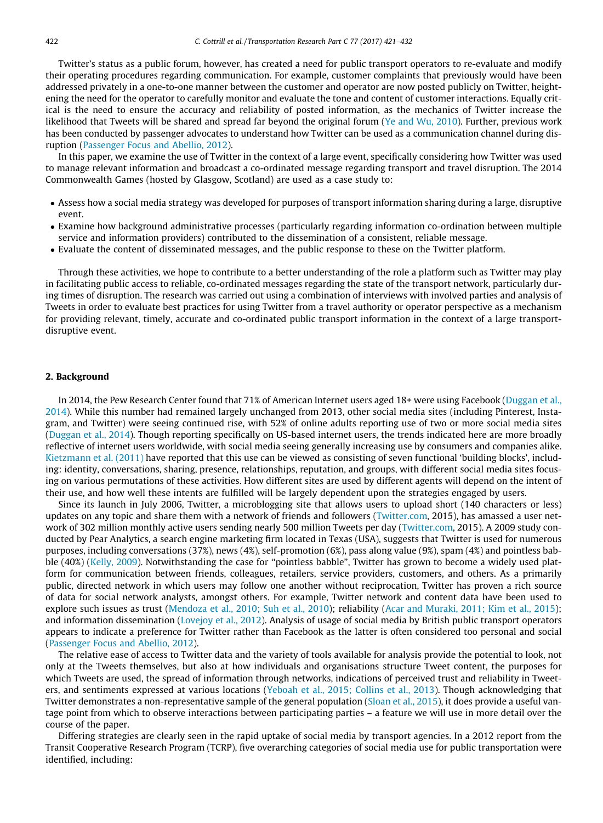Twitter's status as a public forum, however, has created a need for public transport operators to re-evaluate and modify their operating procedures regarding communication. For example, customer complaints that previously would have been addressed privately in a one-to-one manner between the customer and operator are now posted publicly on Twitter, heightening the need for the operator to carefully monitor and evaluate the tone and content of customer interactions. Equally critical is the need to ensure the accuracy and reliability of posted information, as the mechanics of Twitter increase the likelihood that Tweets will be shared and spread far beyond the original forum ([Ye and Wu, 2010](#page-11-0)). Further, previous work has been conducted by passenger advocates to understand how Twitter can be used as a communication channel during disruption [\(Passenger Focus and Abellio, 2012\)](#page-10-0).

In this paper, we examine the use of Twitter in the context of a large event, specifically considering how Twitter was used to manage relevant information and broadcast a co-ordinated message regarding transport and travel disruption. The 2014 Commonwealth Games (hosted by Glasgow, Scotland) are used as a case study to:

- Assess how a social media strategy was developed for purposes of transport information sharing during a large, disruptive event.
- Examine how background administrative processes (particularly regarding information co-ordination between multiple service and information providers) contributed to the dissemination of a consistent, reliable message.
- Evaluate the content of disseminated messages, and the public response to these on the Twitter platform.

Through these activities, we hope to contribute to a better understanding of the role a platform such as Twitter may play in facilitating public access to reliable, co-ordinated messages regarding the state of the transport network, particularly during times of disruption. The research was carried out using a combination of interviews with involved parties and analysis of Tweets in order to evaluate best practices for using Twitter from a travel authority or operator perspective as a mechanism for providing relevant, timely, accurate and co-ordinated public transport information in the context of a large transportdisruptive event.

## 2. Background

In 2014, the Pew Research Center found that 71% of American Internet users aged 18+ were using Facebook ([Duggan et al.,](#page-10-0) [2014](#page-10-0)). While this number had remained largely unchanged from 2013, other social media sites (including Pinterest, Instagram, and Twitter) were seeing continued rise, with 52% of online adults reporting use of two or more social media sites [\(Duggan et al., 2014](#page-10-0)). Though reporting specifically on US-based internet users, the trends indicated here are more broadly reflective of internet users worldwide, with social media seeing generally increasing use by consumers and companies alike. [Kietzmann et al. \(2011\)](#page-10-0) have reported that this use can be viewed as consisting of seven functional 'building blocks', including: identity, conversations, sharing, presence, relationships, reputation, and groups, with different social media sites focusing on various permutations of these activities. How different sites are used by different agents will depend on the intent of their use, and how well these intents are fulfilled will be largely dependent upon the strategies engaged by users.

Since its launch in July 2006, Twitter, a microblogging site that allows users to upload short (140 characters or less) updates on any topic and share them with a network of friends and followers [\(Twitter.com,](http://www.Twitter.com) 2015), has amassed a user network of 302 million monthly active users sending nearly 500 million Tweets per day [\(Twitter.com,](http://www.Twitter.com) 2015). A 2009 study conducted by Pear Analytics, a search engine marketing firm located in Texas (USA), suggests that Twitter is used for numerous purposes, including conversations (37%), news (4%), self-promotion (6%), pass along value (9%), spam (4%) and pointless babble (40%) ([Kelly, 2009](#page-10-0)). Notwithstanding the case for ''pointless babble", Twitter has grown to become a widely used platform for communication between friends, colleagues, retailers, service providers, customers, and others. As a primarily public, directed network in which users may follow one another without reciprocation, Twitter has proven a rich source of data for social network analysts, amongst others. For example, Twitter network and content data have been used to explore such issues as trust [\(Mendoza et al., 2010; Suh et al., 2010](#page-10-0)); reliability [\(Acar and Muraki, 2011; Kim et al., 2015\)](#page-10-0); and information dissemination [\(Lovejoy et al., 2012](#page-10-0)). Analysis of usage of social media by British public transport operators appears to indicate a preference for Twitter rather than Facebook as the latter is often considered too personal and social [\(Passenger Focus and Abellio, 2012\)](#page-10-0).

The relative ease of access to Twitter data and the variety of tools available for analysis provide the potential to look, not only at the Tweets themselves, but also at how individuals and organisations structure Tweet content, the purposes for which Tweets are used, the spread of information through networks, indications of perceived trust and reliability in Tweeters, and sentiments expressed at various locations [\(Yeboah et al., 2015; Collins et al., 2013\)](#page-11-0). Though acknowledging that Twitter demonstrates a non-representative sample of the general population [\(Sloan et al., 2015](#page-11-0)), it does provide a useful vantage point from which to observe interactions between participating parties – a feature we will use in more detail over the course of the paper.

Differing strategies are clearly seen in the rapid uptake of social media by transport agencies. In a 2012 report from the Transit Cooperative Research Program (TCRP), five overarching categories of social media use for public transportation were identified, including: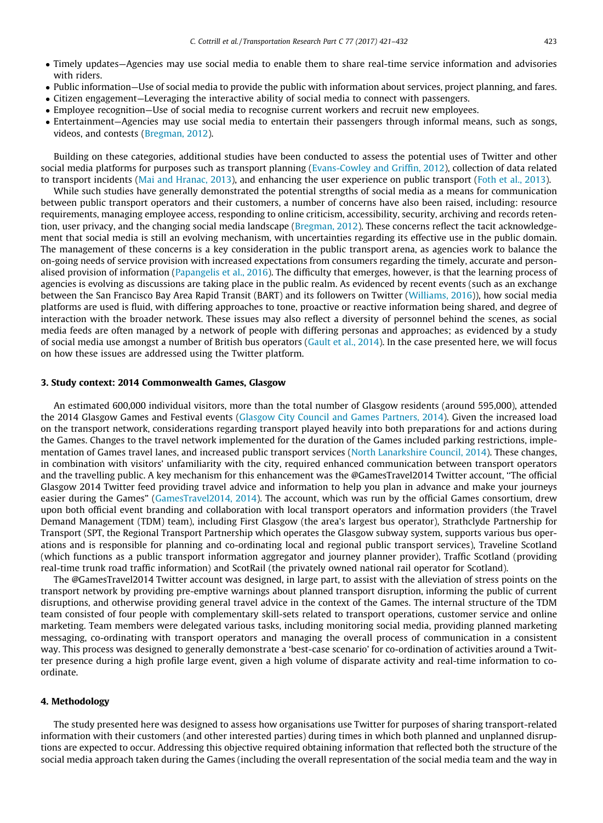- Timely updates—Agencies may use social media to enable them to share real-time service information and advisories with riders.
- Public information—Use of social media to provide the public with information about services, project planning, and fares.
- Citizen engagement—Leveraging the interactive ability of social media to connect with passengers.
- Employee recognition—Use of social media to recognise current workers and recruit new employees.
- Entertainment—Agencies may use social media to entertain their passengers through informal means, such as songs, videos, and contests ([Bregman, 2012\)](#page-10-0).

Building on these categories, additional studies have been conducted to assess the potential uses of Twitter and other social media platforms for purposes such as transport planning ([Evans-Cowley and Griffin, 2012](#page-10-0)), collection of data related to transport incidents [\(Mai and Hranac, 2013](#page-10-0)), and enhancing the user experience on public transport [\(Foth et al., 2013](#page-10-0)).

While such studies have generally demonstrated the potential strengths of social media as a means for communication between public transport operators and their customers, a number of concerns have also been raised, including: resource requirements, managing employee access, responding to online criticism, accessibility, security, archiving and records retention, user privacy, and the changing social media landscape [\(Bregman, 2012](#page-10-0)). These concerns reflect the tacit acknowledgement that social media is still an evolving mechanism, with uncertainties regarding its effective use in the public domain. The management of these concerns is a key consideration in the public transport arena, as agencies work to balance the on-going needs of service provision with increased expectations from consumers regarding the timely, accurate and personalised provision of information [\(Papangelis et al., 2016](#page-10-0)). The difficulty that emerges, however, is that the learning process of agencies is evolving as discussions are taking place in the public realm. As evidenced by recent events (such as an exchange between the San Francisco Bay Area Rapid Transit (BART) and its followers on Twitter [\(Williams, 2016](#page-11-0))), how social media platforms are used is fluid, with differing approaches to tone, proactive or reactive information being shared, and degree of interaction with the broader network. These issues may also reflect a diversity of personnel behind the scenes, as social media feeds are often managed by a network of people with differing personas and approaches; as evidenced by a study of social media use amongst a number of British bus operators [\(Gault et al., 2014](#page-10-0)). In the case presented here, we will focus on how these issues are addressed using the Twitter platform.

## 3. Study context: 2014 Commonwealth Games, Glasgow

An estimated 600,000 individual visitors, more than the total number of Glasgow residents (around 595,000), attended the 2014 Glasgow Games and Festival events [\(Glasgow City Council and Games Partners, 2014\)](#page-10-0). Given the increased load on the transport network, considerations regarding transport played heavily into both preparations for and actions during the Games. Changes to the travel network implemented for the duration of the Games included parking restrictions, implementation of Games travel lanes, and increased public transport services [\(North Lanarkshire Council, 2014](#page-10-0)). These changes, in combination with visitors' unfamiliarity with the city, required enhanced communication between transport operators and the travelling public. A key mechanism for this enhancement was the @GamesTravel2014 Twitter account, ''The official Glasgow 2014 Twitter feed providing travel advice and information to help you plan in advance and make your journeys easier during the Games" [\(GamesTravel2014, 2014\)](#page-10-0). The account, which was run by the official Games consortium, drew upon both official event branding and collaboration with local transport operators and information providers (the Travel Demand Management (TDM) team), including First Glasgow (the area's largest bus operator), Strathclyde Partnership for Transport (SPT, the Regional Transport Partnership which operates the Glasgow subway system, supports various bus operations and is responsible for planning and co-ordinating local and regional public transport services), Traveline Scotland (which functions as a public transport information aggregator and journey planner provider), Traffic Scotland (providing real-time trunk road traffic information) and ScotRail (the privately owned national rail operator for Scotland).

The @GamesTravel2014 Twitter account was designed, in large part, to assist with the alleviation of stress points on the transport network by providing pre-emptive warnings about planned transport disruption, informing the public of current disruptions, and otherwise providing general travel advice in the context of the Games. The internal structure of the TDM team consisted of four people with complementary skill-sets related to transport operations, customer service and online marketing. Team members were delegated various tasks, including monitoring social media, providing planned marketing messaging, co-ordinating with transport operators and managing the overall process of communication in a consistent way. This process was designed to generally demonstrate a 'best-case scenario' for co-ordination of activities around a Twitter presence during a high profile large event, given a high volume of disparate activity and real-time information to coordinate.

## 4. Methodology

The study presented here was designed to assess how organisations use Twitter for purposes of sharing transport-related information with their customers (and other interested parties) during times in which both planned and unplanned disruptions are expected to occur. Addressing this objective required obtaining information that reflected both the structure of the social media approach taken during the Games (including the overall representation of the social media team and the way in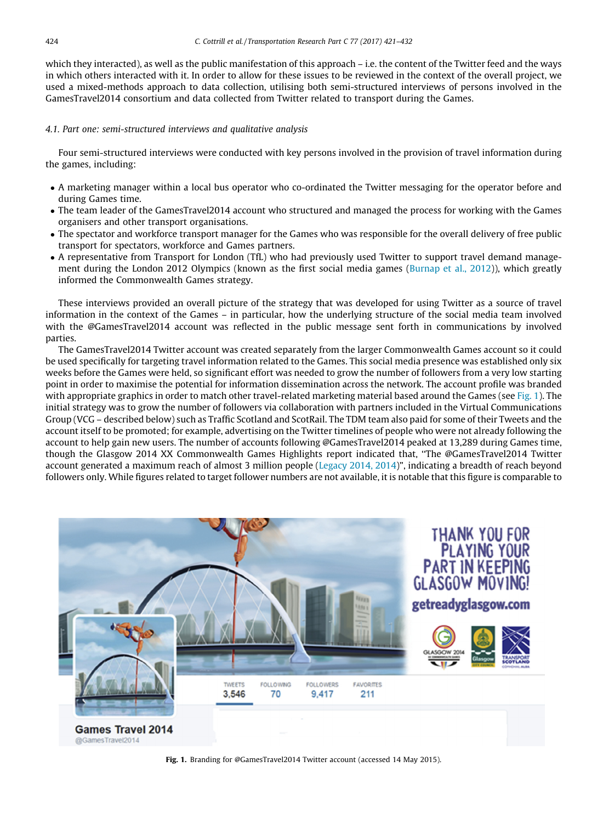which they interacted), as well as the public manifestation of this approach – i.e. the content of the Twitter feed and the ways in which others interacted with it. In order to allow for these issues to be reviewed in the context of the overall project, we used a mixed-methods approach to data collection, utilising both semi-structured interviews of persons involved in the GamesTravel2014 consortium and data collected from Twitter related to transport during the Games.

## 4.1. Part one: semi-structured interviews and qualitative analysis

Four semi-structured interviews were conducted with key persons involved in the provision of travel information during the games, including:

- A marketing manager within a local bus operator who co-ordinated the Twitter messaging for the operator before and during Games time.
- The team leader of the GamesTravel2014 account who structured and managed the process for working with the Games organisers and other transport organisations.
- The spectator and workforce transport manager for the Games who was responsible for the overall delivery of free public transport for spectators, workforce and Games partners.
- A representative from Transport for London (TfL) who had previously used Twitter to support travel demand management during the London 2012 Olympics (known as the first social media games ([Burnap et al., 2012\)](#page-10-0)), which greatly informed the Commonwealth Games strategy.

These interviews provided an overall picture of the strategy that was developed for using Twitter as a source of travel information in the context of the Games – in particular, how the underlying structure of the social media team involved with the @GamesTravel2014 account was reflected in the public message sent forth in communications by involved parties.

The GamesTravel2014 Twitter account was created separately from the larger Commonwealth Games account so it could be used specifically for targeting travel information related to the Games. This social media presence was established only six weeks before the Games were held, so significant effort was needed to grow the number of followers from a very low starting point in order to maximise the potential for information dissemination across the network. The account profile was branded with appropriate graphics in order to match other travel-related marketing material based around the Games (see Fig. 1). The initial strategy was to grow the number of followers via collaboration with partners included in the Virtual Communications Group (VCG – described below) such as Traffic Scotland and ScotRail. The TDM team also paid for some of their Tweets and the account itself to be promoted; for example, advertising on the Twitter timelines of people who were not already following the account to help gain new users. The number of accounts following @GamesTravel2014 peaked at 13,289 during Games time, though the Glasgow 2014 XX Commonwealth Games Highlights report indicated that, ''The @GamesTravel2014 Twitter account generated a maximum reach of almost 3 million people [\(Legacy 2014, 2014\)](#page-10-0)", indicating a breadth of reach beyond followers only. While figures related to target follower numbers are not available, it is notable that this figure is comparable to



Fig. 1. Branding for @GamesTravel2014 Twitter account (accessed 14 May 2015).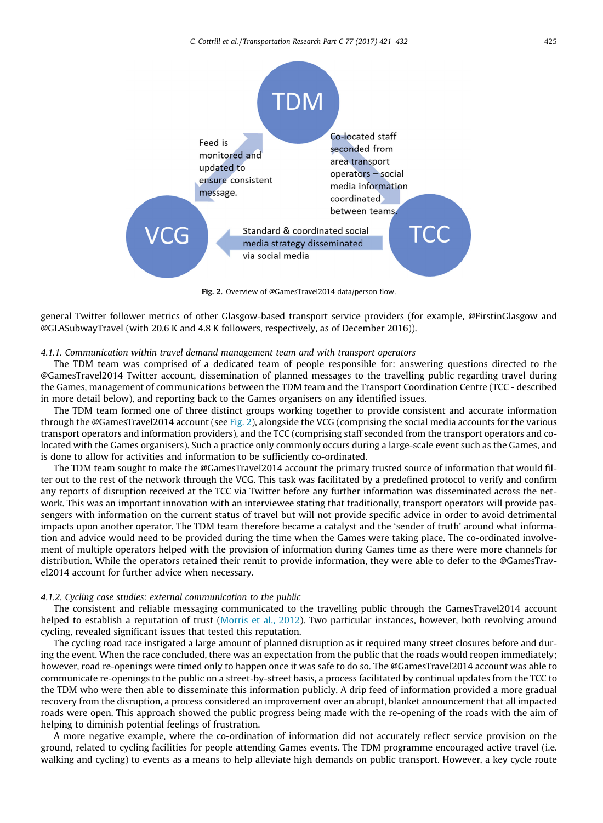

Fig. 2. Overview of @GamesTravel2014 data/person flow.

general Twitter follower metrics of other Glasgow-based transport service providers (for example, @FirstinGlasgow and @GLASubwayTravel (with 20.6 K and 4.8 K followers, respectively, as of December 2016)).

### 4.1.1. Communication within travel demand management team and with transport operators

The TDM team was comprised of a dedicated team of people responsible for: answering questions directed to the @GamesTravel2014 Twitter account, dissemination of planned messages to the travelling public regarding travel during the Games, management of communications between the TDM team and the Transport Coordination Centre (TCC - described in more detail below), and reporting back to the Games organisers on any identified issues.

The TDM team formed one of three distinct groups working together to provide consistent and accurate information through the @GamesTravel2014 account (see Fig. 2), alongside the VCG (comprising the social media accounts for the various transport operators and information providers), and the TCC (comprising staff seconded from the transport operators and colocated with the Games organisers). Such a practice only commonly occurs during a large-scale event such as the Games, and is done to allow for activities and information to be sufficiently co-ordinated.

The TDM team sought to make the @GamesTravel2014 account the primary trusted source of information that would filter out to the rest of the network through the VCG. This task was facilitated by a predefined protocol to verify and confirm any reports of disruption received at the TCC via Twitter before any further information was disseminated across the network. This was an important innovation with an interviewee stating that traditionally, transport operators will provide passengers with information on the current status of travel but will not provide specific advice in order to avoid detrimental impacts upon another operator. The TDM team therefore became a catalyst and the 'sender of truth' around what information and advice would need to be provided during the time when the Games were taking place. The co-ordinated involvement of multiple operators helped with the provision of information during Games time as there were more channels for distribution. While the operators retained their remit to provide information, they were able to defer to the @GamesTravel2014 account for further advice when necessary.

#### 4.1.2. Cycling case studies: external communication to the public

The consistent and reliable messaging communicated to the travelling public through the GamesTravel2014 account helped to establish a reputation of trust [\(Morris et al., 2012\)](#page-10-0). Two particular instances, however, both revolving around cycling, revealed significant issues that tested this reputation.

The cycling road race instigated a large amount of planned disruption as it required many street closures before and during the event. When the race concluded, there was an expectation from the public that the roads would reopen immediately; however, road re-openings were timed only to happen once it was safe to do so. The @GamesTravel2014 account was able to communicate re-openings to the public on a street-by-street basis, a process facilitated by continual updates from the TCC to the TDM who were then able to disseminate this information publicly. A drip feed of information provided a more gradual recovery from the disruption, a process considered an improvement over an abrupt, blanket announcement that all impacted roads were open. This approach showed the public progress being made with the re-opening of the roads with the aim of helping to diminish potential feelings of frustration.

A more negative example, where the co-ordination of information did not accurately reflect service provision on the ground, related to cycling facilities for people attending Games events. The TDM programme encouraged active travel (i.e. walking and cycling) to events as a means to help alleviate high demands on public transport. However, a key cycle route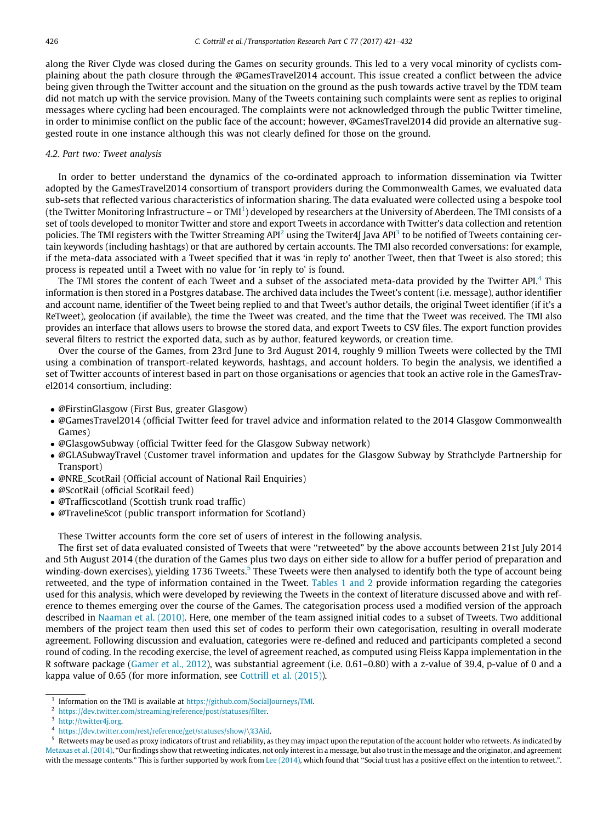along the River Clyde was closed during the Games on security grounds. This led to a very vocal minority of cyclists complaining about the path closure through the @GamesTravel2014 account. This issue created a conflict between the advice being given through the Twitter account and the situation on the ground as the push towards active travel by the TDM team did not match up with the service provision. Many of the Tweets containing such complaints were sent as replies to original messages where cycling had been encouraged. The complaints were not acknowledged through the public Twitter timeline, in order to minimise conflict on the public face of the account; however, @GamesTravel2014 did provide an alternative suggested route in one instance although this was not clearly defined for those on the ground.

## 4.2. Part two: Tweet analysis

In order to better understand the dynamics of the co-ordinated approach to information dissemination via Twitter adopted by the GamesTravel2014 consortium of transport providers during the Commonwealth Games, we evaluated data sub-sets that reflected various characteristics of information sharing. The data evaluated were collected using a bespoke tool (the Twitter Monitoring Infrastructure – or TMI $^1$ ) developed by researchers at the University of Aberdeen. The TMI consists of a set of tools developed to monitor Twitter and store and export Tweets in accordance with Twitter's data collection and retention policies. The TMI registers with the Twitter Streaming  $API^2$  using the Twiter4J Java  $API^3$  to be notified of Tweets containing certain keywords (including hashtags) or that are authored by certain accounts. The TMI also recorded conversations: for example, if the meta-data associated with a Tweet specified that it was 'in reply to' another Tweet, then that Tweet is also stored; this process is repeated until a Tweet with no value for 'in reply to' is found.

The TMI stores the content of each Tweet and a subset of the associated meta-data provided by the Twitter API.<sup>4</sup> This information is then stored in a Postgres database. The archived data includes the Tweet's content (i.e. message), author identifier and account name, identifier of the Tweet being replied to and that Tweet's author details, the original Tweet identifier (if it's a ReTweet), geolocation (if available), the time the Tweet was created, and the time that the Tweet was received. The TMI also provides an interface that allows users to browse the stored data, and export Tweets to CSV files. The export function provides several filters to restrict the exported data, such as by author, featured keywords, or creation time.

Over the course of the Games, from 23rd June to 3rd August 2014, roughly 9 million Tweets were collected by the TMI using a combination of transport-related keywords, hashtags, and account holders. To begin the analysis, we identified a set of Twitter accounts of interest based in part on those organisations or agencies that took an active role in the GamesTravel2014 consortium, including:

- @FirstinGlasgow (First Bus, greater Glasgow)
- @GamesTravel2014 (official Twitter feed for travel advice and information related to the 2014 Glasgow Commonwealth Games)
- @GlasgowSubway (official Twitter feed for the Glasgow Subway network)
- @GLASubwayTravel (Customer travel information and updates for the Glasgow Subway by Strathclyde Partnership for Transport)
- @NRE\_ScotRail (Official account of National Rail Enquiries)
- @ScotRail (official ScotRail feed)
- @Trafficscotland (Scottish trunk road traffic)
- @TravelineScot (public transport information for Scotland)

These Twitter accounts form the core set of users of interest in the following analysis.

The first set of data evaluated consisted of Tweets that were ''retweeted" by the above accounts between 21st July 2014 and 5th August 2014 (the duration of the Games plus two days on either side to allow for a buffer period of preparation and winding-down exercises), yielding 1736 Tweets.<sup>5</sup> These Tweets were then analysed to identify both the type of account being retweeted, and the type of information contained in the Tweet. [Tables 1 and 2](#page-6-0) provide information regarding the categories used for this analysis, which were developed by reviewing the Tweets in the context of literature discussed above and with reference to themes emerging over the course of the Games. The categorisation process used a modified version of the approach described in [Naaman et al. \(2010\).](#page-10-0) Here, one member of the team assigned initial codes to a subset of Tweets. Two additional members of the project team then used this set of codes to perform their own categorisation, resulting in overall moderate agreement. Following discussion and evaluation, categories were re-defined and reduced and participants completed a second round of coding. In the recoding exercise, the level of agreement reached, as computed using Fleiss Kappa implementation in the R software package [\(Gamer et al., 2012\)](#page-10-0), was substantial agreement (i.e. 0.61–0.80) with a z-value of 39.4, p-value of 0 and a kappa value of 0.65 (for more information, see [Cottrill et al. \(2015\)\)](#page-10-0).

<sup>1</sup> Information on the TMI is available at [https://github.com/SocialJourneys/TMI.](https://github.com/SocialJourneys/TMI)

<sup>2</sup> [https://dev.twitter.com/streaming/reference/post/statuses/filter.](https://dev.twitter.com/streaming/reference/post/statuses/filter)

<sup>&</sup>lt;sup>3</sup> [http://twitter4j.org.](http://twitter4j.org)

 $^4$  <https://dev.twitter.com/rest/reference/get/statuses/show/>\[%3Aid.](https://dev.twitter.com/rest/reference/get/statuses/show/)<br><sup>5</sup> Retweets may be used as proxy indicators of trust and reliability, as they may impact upon the reputation of the account holder who retweets. As in [Metaxas et al. \(2014\),](#page-10-0) ''Our findings show that retweeting indicates, not only interest in a message, but also trust in the message and the originator, and agreement with the message contents." This is further supported by work from [Lee \(2014\)](#page-10-0), which found that "Social trust has a positive effect on the intention to retweet.".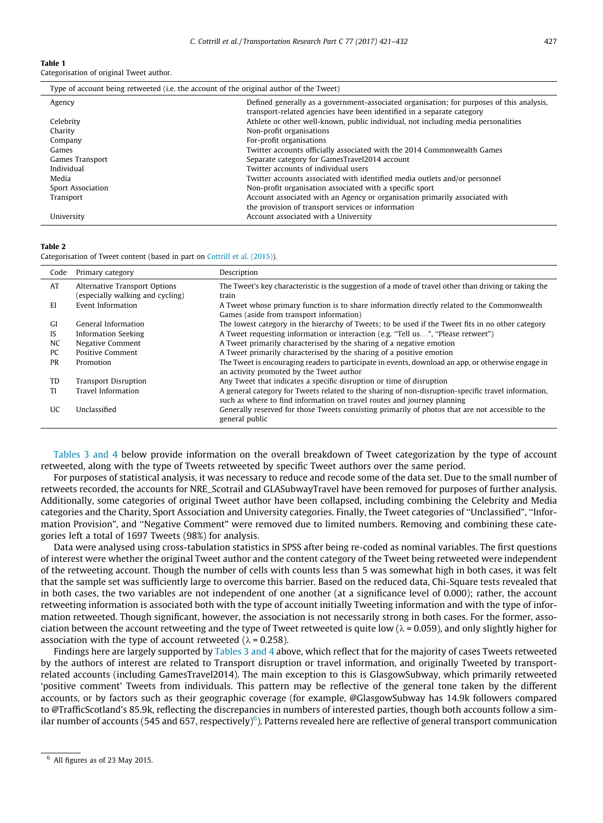#### <span id="page-6-0"></span>Table 1

Categorisation of original Tweet author.

| Type of account being retweeted (i.e. the account of the original author of the Tweet) |                                                                                                                                                                     |  |  |  |  |  |  |
|----------------------------------------------------------------------------------------|---------------------------------------------------------------------------------------------------------------------------------------------------------------------|--|--|--|--|--|--|
| Agency                                                                                 | Defined generally as a government-associated organisation; for purposes of this analysis,<br>transport-related agencies have been identified in a separate category |  |  |  |  |  |  |
| Celebrity                                                                              | Athlete or other well-known, public individual, not including media personalities                                                                                   |  |  |  |  |  |  |
| Charity                                                                                | Non-profit organisations                                                                                                                                            |  |  |  |  |  |  |
| Company                                                                                | For-profit organisations                                                                                                                                            |  |  |  |  |  |  |
| Games                                                                                  | Twitter accounts officially associated with the 2014 Commonwealth Games                                                                                             |  |  |  |  |  |  |
| Games Transport                                                                        | Separate category for GamesTravel2014 account                                                                                                                       |  |  |  |  |  |  |
| Individual                                                                             | Twitter accounts of individual users                                                                                                                                |  |  |  |  |  |  |
| Media                                                                                  | Twitter accounts associated with identified media outlets and/or personnel                                                                                          |  |  |  |  |  |  |
| Sport Association                                                                      | Non-profit organisation associated with a specific sport                                                                                                            |  |  |  |  |  |  |
| Transport                                                                              | Account associated with an Agency or organisation primarily associated with<br>the provision of transport services or information                                   |  |  |  |  |  |  |
| University                                                                             | Account associated with a University                                                                                                                                |  |  |  |  |  |  |

#### Table 2

Categorisation of Tweet content (based in part on [Cottrill et al. \(2015\)](#page-10-0)).

| Code      | Primary category                                                  | Description                                                                                                                                                                    |
|-----------|-------------------------------------------------------------------|--------------------------------------------------------------------------------------------------------------------------------------------------------------------------------|
| AT        | Alternative Transport Options<br>(especially walking and cycling) | The Tweet's key characteristic is the suggestion of a mode of travel other than driving or taking the<br>train                                                                 |
| E1        | Event Information                                                 | A Tweet whose primary function is to share information directly related to the Commonwealth<br>Games (aside from transport information)                                        |
| GI        | General Information                                               | The lowest category in the hierarchy of Tweets; to be used if the Tweet fits in no other category                                                                              |
| IS        | <b>Information Seeking</b>                                        | A Tweet requesting information or interaction (e.g. "Tell us", "Please retweet")                                                                                               |
| NC        | Negative Comment                                                  | A Tweet primarily characterised by the sharing of a negative emotion                                                                                                           |
| PC        | <b>Positive Comment</b>                                           | A Tweet primarily characterised by the sharing of a positive emotion                                                                                                           |
| <b>PR</b> | Promotion                                                         | The Tweet is encouraging readers to participate in events, download an app, or otherwise engage in<br>an activity promoted by the Tweet author                                 |
| TD        | <b>Transport Disruption</b>                                       | Any Tweet that indicates a specific disruption or time of disruption                                                                                                           |
| TI        | <b>Travel Information</b>                                         | A general category for Tweets related to the sharing of non-disruption-specific travel information,<br>such as where to find information on travel routes and journey planning |
| <b>UC</b> | Unclassified                                                      | Generally reserved for those Tweets consisting primarily of photos that are not accessible to the<br>general public                                                            |

[Tables 3 and 4](#page-7-0) below provide information on the overall breakdown of Tweet categorization by the type of account retweeted, along with the type of Tweets retweeted by specific Tweet authors over the same period.

For purposes of statistical analysis, it was necessary to reduce and recode some of the data set. Due to the small number of retweets recorded, the accounts for NRE\_Scotrail and GLASubwayTravel have been removed for purposes of further analysis. Additionally, some categories of original Tweet author have been collapsed, including combining the Celebrity and Media categories and the Charity, Sport Association and University categories. Finally, the Tweet categories of ''Unclassified", ''Information Provision", and ''Negative Comment" were removed due to limited numbers. Removing and combining these categories left a total of 1697 Tweets (98%) for analysis.

Data were analysed using cross-tabulation statistics in SPSS after being re-coded as nominal variables. The first questions of interest were whether the original Tweet author and the content category of the Tweet being retweeted were independent of the retweeting account. Though the number of cells with counts less than 5 was somewhat high in both cases, it was felt that the sample set was sufficiently large to overcome this barrier. Based on the reduced data, Chi-Square tests revealed that in both cases, the two variables are not independent of one another (at a significance level of 0.000); rather, the account retweeting information is associated both with the type of account initially Tweeting information and with the type of information retweeted. Though significant, however, the association is not necessarily strong in both cases. For the former, association between the account retweeting and the type of Tweet retweeted is quite low ( $\lambda$  = 0.059), and only slightly higher for association with the type of account retweeted ( $\lambda$  = 0.258).

Findings here are largely supported by [Tables 3 and 4](#page-7-0) above, which reflect that for the majority of cases Tweets retweeted by the authors of interest are related to Transport disruption or travel information, and originally Tweeted by transportrelated accounts (including GamesTravel2014). The main exception to this is GlasgowSubway, which primarily retweeted 'positive comment' Tweets from individuals. This pattern may be reflective of the general tone taken by the different accounts, or by factors such as their geographic coverage (for example, @GlasgowSubway has 14.9k followers compared to @TrafficScotland's 85.9k, reflecting the discrepancies in numbers of interested parties, though both accounts follow a similar number of accounts (545 and 657, respectively) $^6$ ). Patterns revealed here are reflective of general transport communication

 $6$  All figures as of 23 May 2015.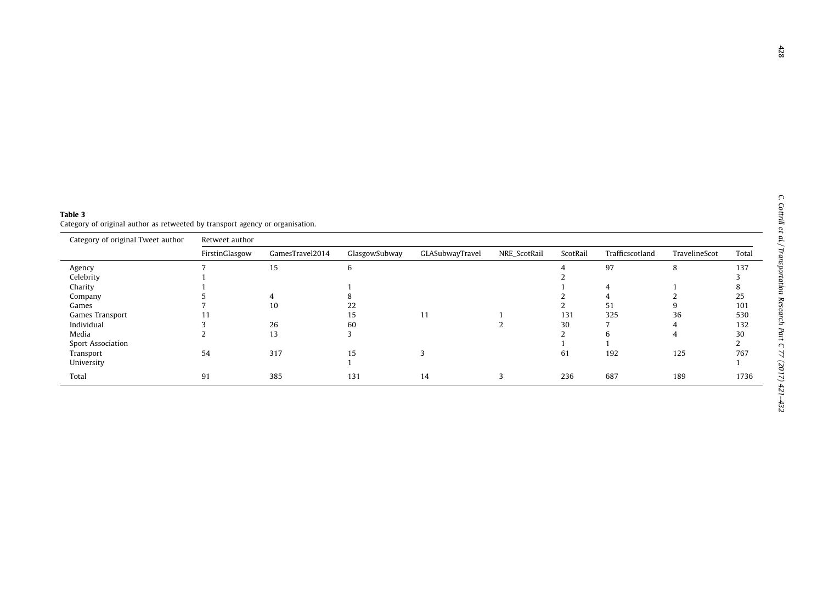<span id="page-7-0"></span>

| Table 3                                                                       |  |
|-------------------------------------------------------------------------------|--|
| Category of original author as retweeted by transport agency or organisation. |  |

| Category of original Tweet author | Retweet author |                 |               |                 |              |          |                 |               |       |  |
|-----------------------------------|----------------|-----------------|---------------|-----------------|--------------|----------|-----------------|---------------|-------|--|
|                                   | FirstinGlasgow | GamesTravel2014 | GlasgowSubway | GLASubwayTravel | NRE_ScotRail | ScotRail | Trafficscotland | TravelineScot | Total |  |
| Agency                            |                | 15              | 6             |                 |              |          | 97              | 8             | 137   |  |
| Celebrity                         |                |                 |               |                 |              |          |                 |               |       |  |
| Charity                           |                |                 |               |                 |              |          |                 |               |       |  |
| Company                           |                |                 |               |                 |              |          |                 |               | 25    |  |
| Games                             |                | 10              | 22            |                 |              |          | 51              |               | 101   |  |
| Games Transport                   | I I            |                 | 15            | 11              |              | 131      | 325             | 36            | 530   |  |
| Individual                        |                | 26              | 60            |                 |              | 30       |                 |               | 132   |  |
| Media                             |                | 13              |               |                 |              |          |                 | 4             | 30    |  |
| <b>Sport Association</b>          |                |                 |               |                 |              |          |                 |               |       |  |
| Transport                         | 54             | 317             | 15            |                 |              | 61       | 192             | 125           | 767   |  |
| University                        |                |                 |               |                 |              |          |                 |               |       |  |
| Total                             | 91             | 385             | 131           | 14              |              | 236      | 687             | 189           | 1736  |  |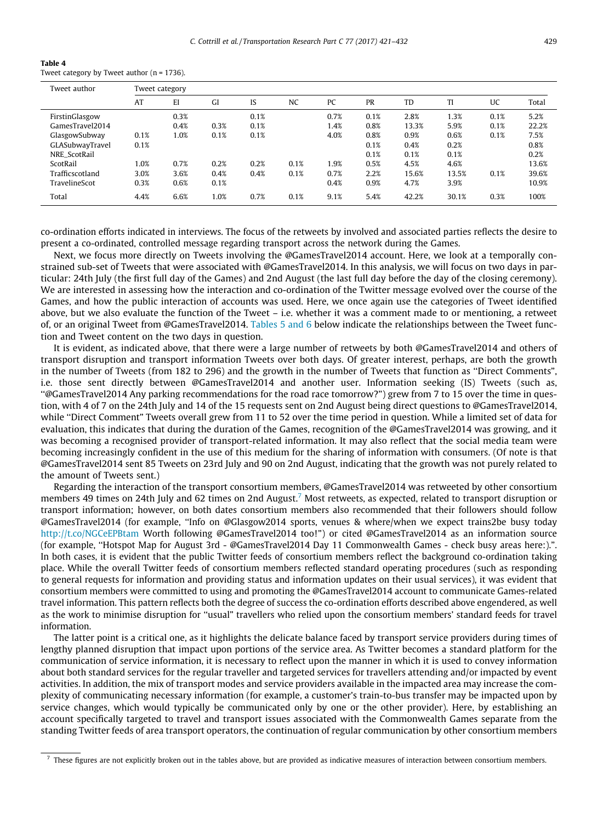| Table 4 |                                                |  |
|---------|------------------------------------------------|--|
|         | Tweet category by Tweet author ( $n = 1736$ ). |  |

| Tweet author    | Tweet category |      |      |      |           |      |      |       |       |      |       |  |  |
|-----------------|----------------|------|------|------|-----------|------|------|-------|-------|------|-------|--|--|
|                 | AT             | EI   | GI   | IS   | <b>NC</b> | PC   | PR   | TD    | TI    | UC   | Total |  |  |
| FirstinGlasgow  |                | 0.3% |      | 0.1% |           | 0.7% | 0.1% | 2.8%  | 1.3%  | 0.1% | 5.2%  |  |  |
| GamesTravel2014 |                | 0.4% | 0.3% | 0.1% |           | 1.4% | 0.8% | 13.3% | 5.9%  | 0.1% | 22.2% |  |  |
| GlasgowSubway   | 0.1%           | 1.0% | 0.1% | 0.1% |           | 4.0% | 0.8% | 0.9%  | 0.6%  | 0.1% | 7.5%  |  |  |
| GLASubwayTravel | 0.1%           |      |      |      |           |      | 0.1% | 0.4%  | 0.2%  |      | 0.8%  |  |  |
| NRE ScotRail    |                |      |      |      |           |      | 0.1% | 0.1%  | 0.1%  |      | 0.2%  |  |  |
| ScotRail        | 1.0%           | 0.7% | 0.2% | 0.2% | 0.1%      | 1.9% | 0.5% | 4.5%  | 4.6%  |      | 13.6% |  |  |
| Trafficscotland | 3.0%           | 3.6% | 0.4% | 0.4% | 0.1%      | 0.7% | 2.2% | 15.6% | 13.5% | 0.1% | 39.6% |  |  |
| TravelineScot   | 0.3%           | 0.6% | 0.1% |      |           | 0.4% | 0.9% | 4.7%  | 3.9%  |      | 10.9% |  |  |
| Total           | 4.4%           | 6.6% | 1.0% | 0.7% | 0.1%      | 9.1% | 5.4% | 42.2% | 30.1% | 0.3% | 100%  |  |  |

co-ordination efforts indicated in interviews. The focus of the retweets by involved and associated parties reflects the desire to present a co-ordinated, controlled message regarding transport across the network during the Games.

Next, we focus more directly on Tweets involving the @GamesTravel2014 account. Here, we look at a temporally constrained sub-set of Tweets that were associated with @GamesTravel2014. In this analysis, we will focus on two days in particular: 24th July (the first full day of the Games) and 2nd August (the last full day before the day of the closing ceremony). We are interested in assessing how the interaction and co-ordination of the Twitter message evolved over the course of the Games, and how the public interaction of accounts was used. Here, we once again use the categories of Tweet identified above, but we also evaluate the function of the Tweet – i.e. whether it was a comment made to or mentioning, a retweet of, or an original Tweet from @GamesTravel2014. [Tables 5 and 6](#page-9-0) below indicate the relationships between the Tweet function and Tweet content on the two days in question.

It is evident, as indicated above, that there were a large number of retweets by both @GamesTravel2014 and others of transport disruption and transport information Tweets over both days. Of greater interest, perhaps, are both the growth in the number of Tweets (from 182 to 296) and the growth in the number of Tweets that function as ''Direct Comments", i.e. those sent directly between @GamesTravel2014 and another user. Information seeking (IS) Tweets (such as, ''@GamesTravel2014 Any parking recommendations for the road race tomorrow?") grew from 7 to 15 over the time in question, with 4 of 7 on the 24th July and 14 of the 15 requests sent on 2nd August being direct questions to @GamesTravel2014, while "Direct Comment" Tweets overall grew from 11 to 52 over the time period in question. While a limited set of data for evaluation, this indicates that during the duration of the Games, recognition of the @GamesTravel2014 was growing, and it was becoming a recognised provider of transport-related information. It may also reflect that the social media team were becoming increasingly confident in the use of this medium for the sharing of information with consumers. (Of note is that @GamesTravel2014 sent 85 Tweets on 23rd July and 90 on 2nd August, indicating that the growth was not purely related to the amount of Tweets sent.)

Regarding the interaction of the transport consortium members, @GamesTravel2014 was retweeted by other consortium members 49 times on 24th July and 62 times on 2nd August.<sup>7</sup> Most retweets, as expected, related to transport disruption or transport information; however, on both dates consortium members also recommended that their followers should follow @GamesTravel2014 (for example, ''Info on @Glasgow2014 sports, venues & where/when we expect trains2be busy today <http://t.co/NGCeEPBtam> Worth following @GamesTravel2014 too!") or cited @GamesTravel2014 as an information source (for example, ''Hotspot Map for August 3rd - @GamesTravel2014 Day 11 Commonwealth Games - check busy areas here:).". In both cases, it is evident that the public Twitter feeds of consortium members reflect the background co-ordination taking place. While the overall Twitter feeds of consortium members reflected standard operating procedures (such as responding to general requests for information and providing status and information updates on their usual services), it was evident that consortium members were committed to using and promoting the @GamesTravel2014 account to communicate Games-related travel information. This pattern reflects both the degree of success the co-ordination efforts described above engendered, as well as the work to minimise disruption for ''usual" travellers who relied upon the consortium members' standard feeds for travel information.

The latter point is a critical one, as it highlights the delicate balance faced by transport service providers during times of lengthy planned disruption that impact upon portions of the service area. As Twitter becomes a standard platform for the communication of service information, it is necessary to reflect upon the manner in which it is used to convey information about both standard services for the regular traveller and targeted services for travellers attending and/or impacted by event activities. In addition, the mix of transport modes and service providers available in the impacted area may increase the complexity of communicating necessary information (for example, a customer's train-to-bus transfer may be impacted upon by service changes, which would typically be communicated only by one or the other provider). Here, by establishing an account specifically targeted to travel and transport issues associated with the Commonwealth Games separate from the standing Twitter feeds of area transport operators, the continuation of regular communication by other consortium members

 $<sup>7</sup>$  These figures are not explicitly broken out in the tables above, but are provided as indicative measures of interaction between consortium members.</sup>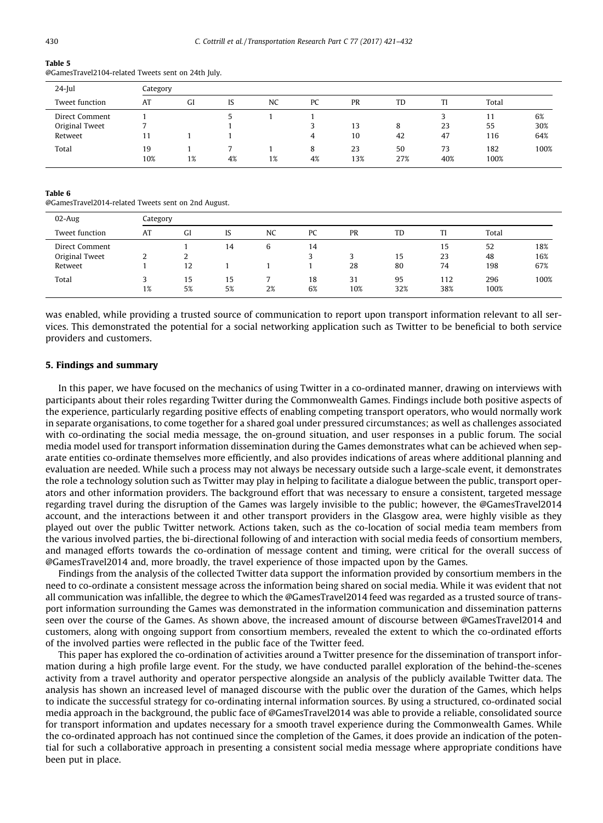#### <span id="page-9-0"></span>Table 5

@GamesTravel2104-related Tweets sent on 24th July.

| $24$ -Jul      | Category  |    |    |    |         |           |           |           |             |      |  |
|----------------|-----------|----|----|----|---------|-----------|-----------|-----------|-------------|------|--|
| Tweet function | AT        | GI | IS | NC | PC      | PR        | TD        | Tl        | Total       |      |  |
| Direct Comment |           |    |    |    |         |           |           |           |             | 6%   |  |
| Original Tweet |           |    |    |    |         | 13        | 8         | 23        | 55          | 30%  |  |
| Retweet        |           |    |    |    | 4       | 10        | 42        | 47        | 116         | 64%  |  |
| Total          | 19<br>10% | 1% | 4% | 1% | 8<br>4% | 23<br>13% | 50<br>27% | 73<br>40% | 182<br>100% | 100% |  |

#### Table 6

@GamesTravel2014-related Tweets sent on 2nd August.

| $02$ -Aug                                   | Category |          |          |           |          |           |           |                |                 |                   |  |
|---------------------------------------------|----------|----------|----------|-----------|----------|-----------|-----------|----------------|-----------------|-------------------|--|
| Tweet function                              | AT       | GI       | IS       | <b>NC</b> | PC       | PR        | TD        | TI             | Total           |                   |  |
| Direct Comment<br>Original Tweet<br>Retweet | ∼        | ı<br>12  | 14       | ь         | 14       | 28        | 15<br>80  | 15<br>23<br>74 | 52<br>48<br>198 | 18%<br>16%<br>67% |  |
| Total                                       | 1%       | 15<br>5% | 15<br>5% | 2%        | 18<br>6% | 31<br>10% | 95<br>32% | 112<br>38%     | 296<br>100%     | 100%              |  |

was enabled, while providing a trusted source of communication to report upon transport information relevant to all services. This demonstrated the potential for a social networking application such as Twitter to be beneficial to both service providers and customers.

## 5. Findings and summary

In this paper, we have focused on the mechanics of using Twitter in a co-ordinated manner, drawing on interviews with participants about their roles regarding Twitter during the Commonwealth Games. Findings include both positive aspects of the experience, particularly regarding positive effects of enabling competing transport operators, who would normally work in separate organisations, to come together for a shared goal under pressured circumstances; as well as challenges associated with co-ordinating the social media message, the on-ground situation, and user responses in a public forum. The social media model used for transport information dissemination during the Games demonstrates what can be achieved when separate entities co-ordinate themselves more efficiently, and also provides indications of areas where additional planning and evaluation are needed. While such a process may not always be necessary outside such a large-scale event, it demonstrates the role a technology solution such as Twitter may play in helping to facilitate a dialogue between the public, transport operators and other information providers. The background effort that was necessary to ensure a consistent, targeted message regarding travel during the disruption of the Games was largely invisible to the public; however, the @GamesTravel2014 account, and the interactions between it and other transport providers in the Glasgow area, were highly visible as they played out over the public Twitter network. Actions taken, such as the co-location of social media team members from the various involved parties, the bi-directional following of and interaction with social media feeds of consortium members, and managed efforts towards the co-ordination of message content and timing, were critical for the overall success of @GamesTravel2014 and, more broadly, the travel experience of those impacted upon by the Games.

Findings from the analysis of the collected Twitter data support the information provided by consortium members in the need to co-ordinate a consistent message across the information being shared on social media. While it was evident that not all communication was infallible, the degree to which the @GamesTravel2014 feed was regarded as a trusted source of transport information surrounding the Games was demonstrated in the information communication and dissemination patterns seen over the course of the Games. As shown above, the increased amount of discourse between @GamesTravel2014 and customers, along with ongoing support from consortium members, revealed the extent to which the co-ordinated efforts of the involved parties were reflected in the public face of the Twitter feed.

This paper has explored the co-ordination of activities around a Twitter presence for the dissemination of transport information during a high profile large event. For the study, we have conducted parallel exploration of the behind-the-scenes activity from a travel authority and operator perspective alongside an analysis of the publicly available Twitter data. The analysis has shown an increased level of managed discourse with the public over the duration of the Games, which helps to indicate the successful strategy for co-ordinating internal information sources. By using a structured, co-ordinated social media approach in the background, the public face of @GamesTravel2014 was able to provide a reliable, consolidated source for transport information and updates necessary for a smooth travel experience during the Commonwealth Games. While the co-ordinated approach has not continued since the completion of the Games, it does provide an indication of the potential for such a collaborative approach in presenting a consistent social media message where appropriate conditions have been put in place.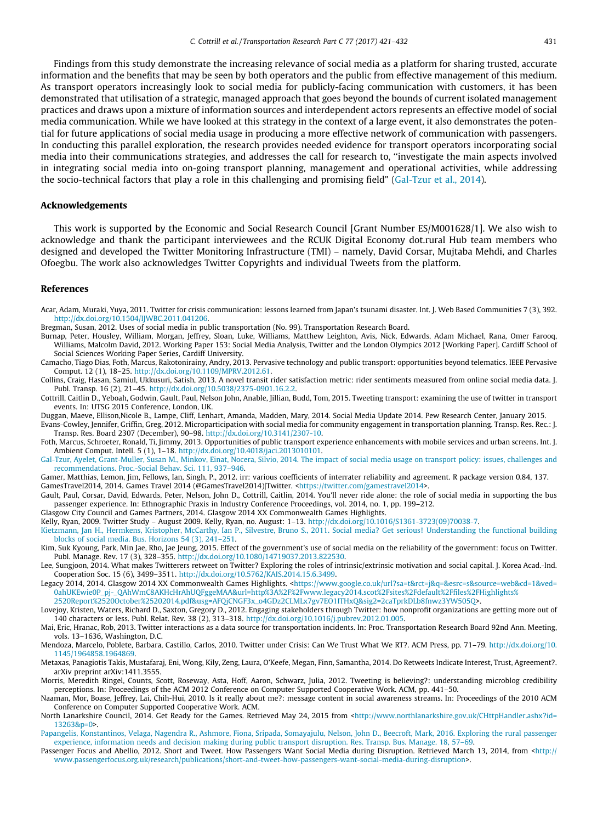<span id="page-10-0"></span>Findings from this study demonstrate the increasing relevance of social media as a platform for sharing trusted, accurate information and the benefits that may be seen by both operators and the public from effective management of this medium. As transport operators increasingly look to social media for publicly-facing communication with customers, it has been demonstrated that utilisation of a strategic, managed approach that goes beyond the bounds of current isolated management practices and draws upon a mixture of information sources and interdependent actors represents an effective model of social media communication. While we have looked at this strategy in the context of a large event, it also demonstrates the potential for future applications of social media usage in producing a more effective network of communication with passengers. In conducting this parallel exploration, the research provides needed evidence for transport operators incorporating social media into their communications strategies, and addresses the call for research to, ''investigate the main aspects involved in integrating social media into on-going transport planning, management and operational activities, while addressing the socio-technical factors that play a role in this challenging and promising field" (Gal-Tzur et al., 2014).

## Acknowledgements

This work is supported by the Economic and Social Research Council [Grant Number ES/M001628/1]. We also wish to acknowledge and thank the participant interviewees and the RCUK Digital Economy dot.rural Hub team members who designed and developed the Twitter Monitoring Infrastructure (TMI) – namely, David Corsar, Mujtaba Mehdi, and Charles Ofoegbu. The work also acknowledges Twitter Copyrights and individual Tweets from the platform.

## References

- Acar, Adam, Muraki, Yuya, 2011. Twitter for crisis communication: lessons learned from Japan's tsunami disaster. Int. J. Web Based Communities 7 (3), 392. <http://dx.doi.org/10.1504/IJWBC.2011.041206>.
- Bregman, Susan, 2012. Uses of social media in public transportation (No. 99). Transportation Research Board.
- Burnap, Peter, Housley, William, Morgan, Jeffrey, Sloan, Luke, Williams, Matthew Leighton, Avis, Nick, Edwards, Adam Michael, Rana, Omer Farooq, Williams, Malcolm David, 2012. Working Paper 153: Social Media Analysis, Twitter and the London Olympics 2012 [Working Paper]. Cardiff School of Social Sciences Working Paper Series, Cardiff University.
- Camacho, Tiago Dias, Foth, Marcus, Rakotonirainy, Andry, 2013. Pervasive technology and public transport: opportunities beyond telematics. IEEE Pervasive Comput. 12 (1), 18–25. <http://dx.doi.org/10.1109/MPRV.2012.61>.
- Collins, Craig, Hasan, Samiul, Ukkusuri, Satish, 2013. A novel transit rider satisfaction metric: rider sentiments measured from online social media data. J. Publ. Transp. 16 (2), 21–45. [http://dx.doi.org/10.5038/2375-0901.16.2.2.](http://dx.doi.org/10.5038/2375-0901.16.2.2)
- Cottrill, Caitlin D., Yeboah, Godwin, Gault, Paul, Nelson John, Anable, Jillian, Budd, Tom, 2015. Tweeting transport: examining the use of twitter in transport events. In: UTSG 2015 Conference, London, UK.
- Duggan, Maeve, Ellison,Nicole B., Lampe, Cliff, Lenhart, Amanda, Madden, Mary, 2014. Social Media Update 2014. Pew Research Center, January 2015. Evans-Cowley, Jennifer, Griffin, Greg, 2012. Microparticipation with social media for community engagement in transportation planning. Transp. Res. Rec.: J. Transp. Res. Board 2307 (December), 90–98. <http://dx.doi.org/10.3141/2307-10>.
- Foth, Marcus, Schroeter, Ronald, Ti, Jimmy, 2013. Opportunities of public transport experience enhancements with mobile services and urban screens. Int. J. Ambient Comput. Intell. 5 (1), 1–18. [http://dx.doi.org/10.4018/jaci.2013010101.](http://dx.doi.org/10.4018/jaci.2013010101)
- [Gal-Tzur, Ayelet, Grant-Muller, Susan M., Minkov, Einat, Nocera, Silvio, 2014. The impact of social media usage on transport policy: issues, challenges and](http://refhub.elsevier.com/S0968-090X(17)30048-7/h0050) [recommendations. Proc.-Social Behav. Sci. 111, 937–946](http://refhub.elsevier.com/S0968-090X(17)30048-7/h0050).
- Gamer, Matthias, Lemon, Jim, Fellows, Ian, Singh, P., 2012. irr: various coefficients of interrater reliability and agreement. R package version 0.84, 137. GamesTravel2014, 2014. Games Travel 2014 (@GamesTravel2014)|Twitter. [<https://twitter.com/gamestravel2014>](https://twitter.com/gamestravel2014).
- Gault, Paul, Corsar, David, Edwards, Peter, Nelson, John D., Cottrill, Caitlin, 2014. You'll never ride alone: the role of social media in supporting the bus passenger experience. In: Ethnographic Praxis in Industry Conference Proceedings, vol. 2014, no. 1, pp. 199–212.
- Glasgow City Council and Games Partners, 2014. Glasgow 2014 XX Commonwealth Games Highlights.
- Kelly, Ryan, 2009. Twitter Study August 2009. Kelly, Ryan, no. August: 1–13. [http://dx.doi.org/10.1016/S1361-3723\(09\)70038-7.](http://dx.doi.org/10.1016/S1361-3723(09)70038-7)
- [Kietzmann, Jan H., Hermkens, Kristopher, McCarthy, Ian P., Silvestre, Bruno S., 2011. Social media? Get serious! Understanding the functional building](http://refhub.elsevier.com/S0968-090X(17)30048-7/h0080) [blocks of social media. Bus. Horizons 54 \(3\), 241–251](http://refhub.elsevier.com/S0968-090X(17)30048-7/h0080).
- Kim, Suk Kyoung, Park, Min Jae, Rho, Jae Jeung, 2015. Effect of the government's use of social media on the reliability of the government: focus on Twitter. Publ. Manage. Rev. 17 (3), 328–355. [http://dx.doi.org/10.1080/14719037.2013.822530.](http://dx.doi.org/10.1080/14719037.2013.822530)
- Lee, Sungjoon, 2014. What makes Twitterers retweet on Twitter? Exploring the roles of intrinsic/extrinsic motivation and social capital. J. Korea Acad.-Ind. Cooperation Soc. 15 (6), 3499–3511. [http://dx.doi.org/10.5762/KAIS.2014.15.6.3499.](http://dx.doi.org/10.5762/KAIS.2014.15.6.3499)
- Legacy 2014, 2014. Glasgow 2014 XX Commonwealth Games Highlights. [<https://www.google.co.uk/url?sa=t&rct=j&q=&esrc=s&source=web&cd=1&ved=](https://www.google.co.uk) [0ahUKEwie0P\\_pj-\\_QAhWmC8AKHcHrAhUQFggeMAA&url=http%3A%2F%2Fwww.legacy2014.scot%2Fsites%2Fdefault%2Ffiles%2FHighlights%](https://www.google.co.uk) [2520Report%2520October%25202014.pdf&usg=AFQjCNGF3x\\_o4GDz2CLMLx7gv7EO1ITHxQ&sig2=2caTprkDLb8fnwz3YW505Q>](https://www.google.co.uk).
- Lovejoy, Kristen, Waters, Richard D., Saxton, Gregory D., 2012. Engaging stakeholders through Twitter: how nonprofit organizations are getting more out of 140 characters or less. Publ. Relat. Rev. 38 (2), 313–318. [http://dx.doi.org/10.1016/j.pubrev.2012.01.005.](http://dx.doi.org/10.1016/j.pubrev.2012.01.005)
- Mai, Eric, Hranac, Rob, 2013. Twitter interactions as a data source for transportation incidents. In: Proc. Transportation Research Board 92nd Ann. Meeting, vols. 13–1636, Washington, D.C.
- Mendoza, Marcelo, Poblete, Barbara, Castillo, Carlos, 2010. Twitter under Crisis: Can We Trust What We RT?. ACM Press, pp. 71–79. [http://dx.doi.org/10.](http://dx.doi.org/10.1145/1964858.1964869) [1145/1964858.1964869](http://dx.doi.org/10.1145/1964858.1964869).
- Metaxas, Panagiotis Takis, Mustafaraj, Eni, Wong, Kily, Zeng, Laura, O'Keefe, Megan, Finn, Samantha, 2014. Do Retweets Indicate Interest, Trust, Agreement?. arXiv preprint arXiv:1411.3555.
- Morris, Meredith Ringel, Counts, Scott, Roseway, Asta, Hoff, Aaron, Schwarz, Julia, 2012. Tweeting is believing?: understanding microblog credibility perceptions. In: Proceedings of the ACM 2012 Conference on Computer Supported Cooperative Work. ACM, pp. 441–50.
- Naaman, Mor, Boase, Jeffrey, Lai, Chih-Hui, 2010. Is it really about me?: message content in social awareness streams. In: Proceedings of the 2010 ACM Conference on Computer Supported Cooperative Work. ACM.
- North Lanarkshire Council, 2014. Get Ready for the Games. Retrieved May 24, 2015 from [<http://www.northlanarkshire.gov.uk/CHttpHandler.ashx?id=](http://www.northlanarkshire.gov.uk/CHttpHandler.ashx?id=13263%26p=0) [13263&p=0>](http://www.northlanarkshire.gov.uk/CHttpHandler.ashx?id=13263%26p=0).
- [Papangelis, Konstantinos, Velaga, Nagendra R., Ashmore, Fiona, Sripada, Somayajulu, Nelson, John D., Beecroft, Mark, 2016. Exploring the rural passenger](http://refhub.elsevier.com/S0968-090X(17)30048-7/h0135) [experience, information needs and decision making during public transport disruption. Res. Transp. Bus. Manage. 18, 57–69](http://refhub.elsevier.com/S0968-090X(17)30048-7/h0135).
- Passenger Focus and Abellio, 2012. Short and Tweet. How Passengers Want Social Media during Disruption. Retrieved March 13, 2014, from [<http://](http://www.passengerfocus.org.uk) [www.passengerfocus.org.uk/research/publications/short-and-tweet-how-passengers-want-social-media-during-disruption](http://www.passengerfocus.org.uk)>.